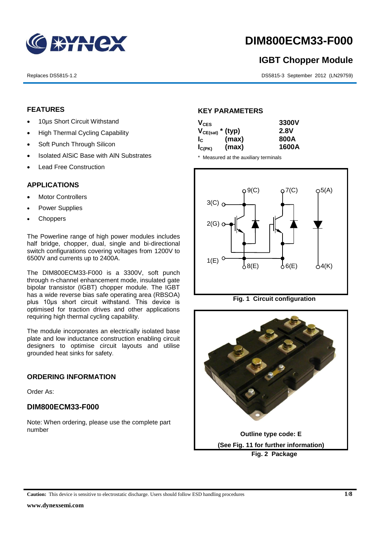

# **DIM800ECM33-F000**

# **IGBT Chopper Module**

Replaces DS5815-1.2 DS5815-3 September 2012 (LN29759)

# **FEATURES**

- 10µs Short Circuit Withstand
- High Thermal Cycling Capability
- Soft Punch Through Silicon
- Isolated AISiC Base with AIN Substrates
- Lead Free Construction

# **APPLICATIONS**

- Motor Controllers
- Power Supplies
- **Choppers**

The Powerline range of high power modules includes half bridge, chopper, dual, single and bi-directional switch configurations covering voltages from 1200V to 6500V and currents up to 2400A.

The DIM800ECM33-F000 is a 3300V, soft punch through n-channel enhancement mode, insulated gate bipolar transistor (IGBT) chopper module. The IGBT has a wide reverse bias safe operating area (RBSOA) plus 10μs short circuit withstand. This device is optimised for traction drives and other applications requiring high thermal cycling capability.

The module incorporates an electrically isolated base plate and low inductance construction enabling circuit designers to optimise circuit layouts and utilise grounded heat sinks for safety.

# **ORDERING INFORMATION**

Order As:

# **DIM800ECM33-F000**

Note: When ordering, please use the complete part number

# **KEY PARAMETERS**

| $V_{CES}$             |       | 3300V |
|-----------------------|-------|-------|
| $V_{CE(sat)}$ * (typ) |       | 2.8V  |
| $I_{\rm c}$           | (max) | 800A  |
| $I_{C(PK)}$           | (max) | 1600A |

\* Measured at the auxiliary terminals



**Fig. 1 Circuit configuration**

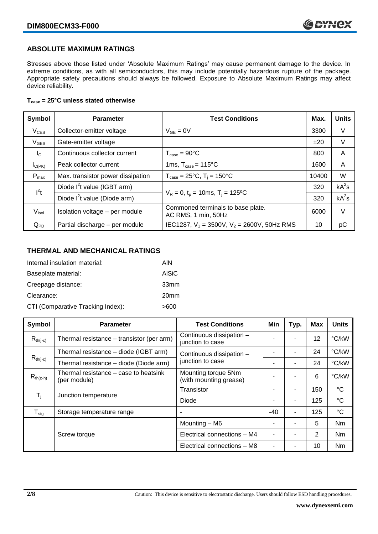# **ABSOLUTE MAXIMUM RATINGS**

Stresses above those listed under 'Absolute Maximum Ratings' may cause permanent damage to the device. In extreme conditions, as with all semiconductors, this may include potentially hazardous rupture of the package. Appropriate safety precautions should always be followed. Exposure to Absolute Maximum Ratings may affect device reliability.

## **Tcase = 25°C unless stated otherwise**

| Symbol            | <b>Test Conditions</b><br><b>Parameter</b> |                                                          | Max.  | <b>Units</b> |
|-------------------|--------------------------------------------|----------------------------------------------------------|-------|--------------|
| $V_{CES}$         | Collector-emitter voltage                  | $V_{GE} = 0V$                                            | 3300  | V            |
| $V_{\text{GES}}$  | Gate-emitter voltage                       |                                                          | ±20   | V            |
| $I_{\rm C}$       | Continuous collector current               | $T_{\text{case}} = 90^{\circ}C$                          | 800   | A            |
| $I_{C(PK)}$       | Peak collector current                     | 1ms, $T_{\text{case}} = 115^{\circ}$ C                   | 1600  | A            |
| $P_{\text{max}}$  | Max. transistor power dissipation          | $T_{\text{case}} = 25^{\circ}C$ , $T_i = 150^{\circ}C$   | 10400 | W            |
| $I^2t$            | Diode $I^2$ t value (IGBT arm)             | $V_R = 0$ , $t_p = 10$ ms, $T_i = 125$ °C                |       | $kA^2s$      |
|                   | Diode $I^2$ t value (Diode arm)            |                                                          |       | $kA^2s$      |
| $V_{\text{isol}}$ | Isolation voltage - per module             | Commoned terminals to base plate.<br>AC RMS, 1 min, 50Hz | 6000  | V            |
| $Q_{PD}$          | Partial discharge - per module             | IEC1287, $V_1 = 3500V$ , $V_2 = 2600V$ , 50Hz RMS        | 10    | pC           |

# **THERMAL AND MECHANICAL RATINGS**

| Internal insulation material:     | AIN              |
|-----------------------------------|------------------|
| Baseplate material:               | <b>AISiC</b>     |
| Creepage distance:                | 33mm             |
| Clearance:                        | 20 <sub>mm</sub> |
| CTI (Comparative Tracking Index): | >600             |

| Symbol                                                  | <b>Parameter</b>                                      | <b>Test Conditions</b>                        | Min | Typ. | <b>Max</b> | <b>Units</b>    |
|---------------------------------------------------------|-------------------------------------------------------|-----------------------------------------------|-----|------|------------|-----------------|
| $R_{th(i-c)}$                                           | Thermal resistance - transistor (per arm)             | Continuous dissipation -<br>junction to case  |     | ۰    | 12         | °C/kW           |
|                                                         | Thermal resistance - diode (IGBT arm)                 | Continuous dissipation -                      |     | ۰    | 24         | °C/kW           |
| $R_{th(j-c)}$<br>Thermal resistance - diode (Diode arm) |                                                       | junction to case                              |     | ۰    | 24         | °C/kW           |
| $R_{th(c-h)}$                                           | Thermal resistance – case to heatsink<br>(per module) | Mounting torque 5Nm<br>(with mounting grease) |     | ۰    | 6          | °C/kW           |
|                                                         | Junction temperature                                  | Transistor                                    |     | ۰    | 150        | $^{\circ}C$     |
| $\mathsf{T}_{\mathsf{i}}$                               |                                                       | Diode                                         |     | ۰    | 125        | $^{\circ}C$     |
| $T_{\text{stg}}$                                        | Storage temperature range                             | $\overline{\phantom{a}}$                      | -40 | ٠    | 125        | $\rm ^{\circ}C$ |
|                                                         |                                                       | Mounting - M6                                 |     |      | 5          | Nm              |
|                                                         | Screw torque                                          | Electrical connections - M4                   |     |      | 2          | <b>Nm</b>       |
|                                                         |                                                       | Electrical connections - M8                   |     |      | 10         | Nm              |

**2/8** Caution: This device is sensitive to electrostatic discharge. Users should follow ESD handling procedures.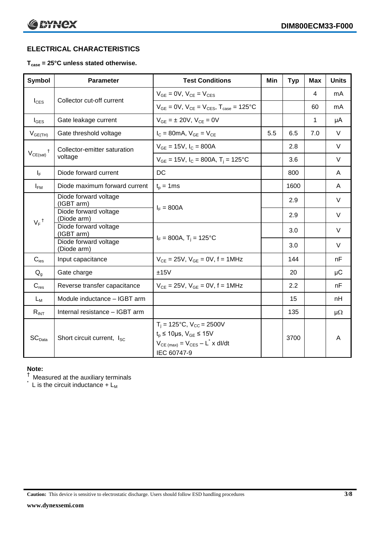# **ELECTRICAL CHARACTERISTICS**

# **Tcase = 25°C unless stated otherwise.**

| <b>Symbol</b>      | <b>Parameter</b>                       | <b>Test Conditions</b>                                                                                                                     | Min | <b>Typ</b> | <b>Max</b> | <b>Units</b> |
|--------------------|----------------------------------------|--------------------------------------------------------------------------------------------------------------------------------------------|-----|------------|------------|--------------|
|                    |                                        | $V_{GE} = 0V$ , $V_{CE} = V_{CES}$                                                                                                         |     |            | 4          | mA           |
| $I_{\text{CES}}$   | Collector cut-off current              | $V_{GF} = 0V$ , $V_{CF} = V_{CFS}$ , $T_{case} = 125$ °C                                                                                   |     |            | 60         | mA           |
| $I_{\text{GES}}$   | Gate leakage current                   | $V_{GF} = \pm 20V$ , $V_{CF} = 0V$                                                                                                         |     |            | 1          | μA           |
| $V_{GE(TH)}$       | Gate threshold voltage                 | $I_C = 80$ mA, $V_{GE} = V_{CE}$                                                                                                           | 5.5 | 6.5        | 7.0        | $\vee$       |
|                    | Collector-emitter saturation           | $V_{GE}$ = 15V, $I_C$ = 800A                                                                                                               |     | 2.8        |            | $\vee$       |
| $V_{CE(sat)}$      | voltage                                | $V_{GE}$ = 15V, $I_C$ = 800A, $T_i$ = 125°C                                                                                                |     | 3.6        |            | $\vee$       |
| $I_F$              | Diode forward current                  | DC                                                                                                                                         |     | 800        |            | A            |
| $I_{FM}$           | Diode maximum forward current          | $t_p = 1$ ms                                                                                                                               |     | 1600       |            | A            |
|                    | Diode forward voltage<br>(IGBT arm)    |                                                                                                                                            |     | 2.9        |            | $\vee$       |
|                    | Diode forward voltage<br>(Diode arm)   | $I_F = 800A$                                                                                                                               |     | 2.9        |            | $\vee$       |
| $V_F$ <sup>†</sup> | Diode forward voltage<br>(IGBT arm)    |                                                                                                                                            |     | 3.0        |            | V            |
|                    | Diode forward voltage<br>(Diode arm)   | $I_F = 800A$ , $T_i = 125^{\circ}C$                                                                                                        |     | 3.0        |            | $\vee$       |
| $C_{\text{ies}}$   | Input capacitance                      | $V_{CE} = 25V$ , $V_{GE} = 0V$ , f = 1MHz                                                                                                  |     | 144        |            | nF           |
| $Q_{q}$            | Gate charge                            | ±15V                                                                                                                                       |     | 20         |            | μC           |
| $C_{res}$          | Reverse transfer capacitance           | $V_{CF} = 25V$ , $V_{GF} = 0V$ , f = 1MHz                                                                                                  |     | 2.2        |            | nF           |
| $L_M$              | Module inductance - IGBT arm           |                                                                                                                                            |     | 15         |            | nH           |
| $R_{INT}$          | Internal resistance - IGBT arm         |                                                                                                                                            |     | 135        |            | $\mu\Omega$  |
| SC <sub>Data</sub> | Short circuit current, I <sub>SC</sub> | $T_i = 125$ °C, $V_{CC} = 2500V$<br>$t_p \le 10 \mu s$ , $V_{GE} \le 15 V$<br>$V_{CE \ (max)} = V_{CES} - L^* \times dl/dt$<br>IEC 60747-9 |     | 3700       |            | A            |

### **Note:**

 $^\dagger$  Measured at the auxiliary terminals

 $\check{}$  L is the circuit inductance + L<sub>M</sub>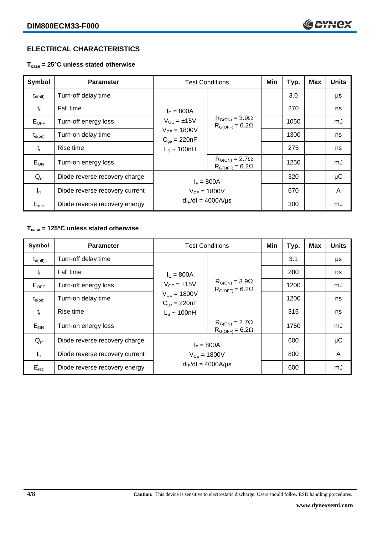# **ELECTRICAL CHARACTERISTICS**

**Tcase = 25°C unless stated otherwise**

| Symbol           | <b>Parameter</b>               | <b>Test Conditions</b>                                                                         |                                                     | Min | Typ. | <b>Max</b> | <b>Units</b> |
|------------------|--------------------------------|------------------------------------------------------------------------------------------------|-----------------------------------------------------|-----|------|------------|--------------|
| $\rm t_{d(off)}$ | Turn-off delay time            | $I_c = 800A$<br>$V_{GE} = \pm 15V$<br>$V_{CE} = 1800V$<br>$C_{qe} = 220nF$<br>$L_S \sim 100nH$ |                                                     |     | 3.0  |            | μs           |
| $t_{\rm f}$      | Fall time                      |                                                                                                |                                                     |     | 270  |            | ns           |
| $E_{OFF}$        | Turn-off energy loss           |                                                                                                | $R_{G(ON)} = 3.9\Omega$<br>$R_{G(OFF)} = 6.2\Omega$ |     | 1050 |            | mJ           |
| $t_{d(on)}$      | Turn-on delay time             |                                                                                                |                                                     |     | 1300 |            | ns           |
| $t_{r}$          | Rise time                      |                                                                                                |                                                     |     | 275  |            | ns           |
| $E_{ON}$         | Turn-on energy loss            |                                                                                                | $R_{G(ON)} = 2.7\Omega$<br>$R_{G(OFF)} = 6.2\Omega$ |     | 1250 |            | mJ           |
| $Q_{rr}$         | Diode reverse recovery charge  | $I_F = 800A$<br>$V_{CE} = 1800V$<br>$dl_F/dt = 4000 A/\mu s$                                   |                                                     |     | 320  |            | μC           |
| $I_{rr}$         | Diode reverse recovery current |                                                                                                |                                                     |     | 670  |            | A            |
| $E_{rec}$        | Diode reverse recovery energy  |                                                                                                |                                                     |     | 300  |            | mJ           |

# **Tcase = 125°C unless stated otherwise**

| Symbol              | <b>Parameter</b>               | <b>Test Conditions</b>               |                                                     | Min | Typ. | <b>Max</b> | <b>Units</b> |
|---------------------|--------------------------------|--------------------------------------|-----------------------------------------------------|-----|------|------------|--------------|
| $t_{d(\text{off})}$ | Turn-off delay time            | $I_c = 800A$<br>$V_{GF} = \pm 15V$   | $R_{G(ON)} = 3.9\Omega$<br>$R_{G(OFF)} = 6.2\Omega$ |     | 3.1  |            | μs           |
| $t_{\rm f}$         | Fall time                      |                                      |                                                     |     | 280  |            | ns           |
| $E_{OFF}$           | Turn-off energy loss           |                                      |                                                     |     | 1200 |            | mJ           |
| $t_{d(on)}$         | Turn-on delay time             | $V_{CE} = 1800V$<br>$C_{ge} = 220nF$ |                                                     |     | 1200 |            | ns           |
| $t_{r}$             | Rise time                      | $L_s \sim 100$ nH                    |                                                     |     | 315  |            | ns           |
| $E_{ON}$            | Turn-on energy loss            |                                      | $R_{G(ON)} = 2.7\Omega$<br>$R_{G(OFF)} = 6.2\Omega$ |     | 1750 |            | mJ           |
| $Q_{rr}$            | Diode reverse recovery charge  | $I_F = 800A$                         |                                                     |     | 600  |            | $\mu$ C      |
| $I_{rr}$            | Diode reverse recovery current | $V_{CE} = 1800V$                     |                                                     |     | 800  |            | A            |
| $E_{rec}$           | Diode reverse recovery energy  | $dl_F/dt = 4000A/\mu s$              |                                                     |     | 600  |            | mJ           |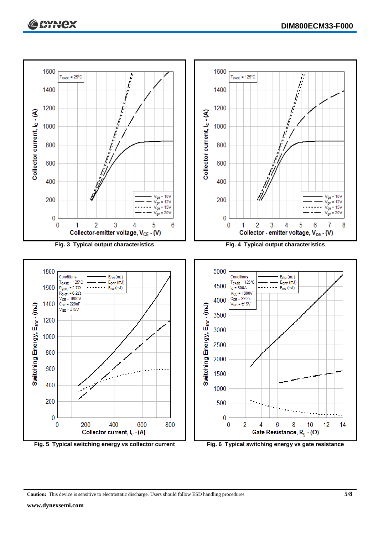

**Caution:** This device is sensitive to electrostatic discharge. Users should follow ESD handling procedures **5/8**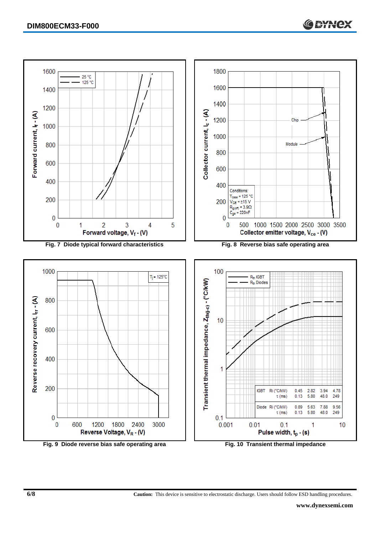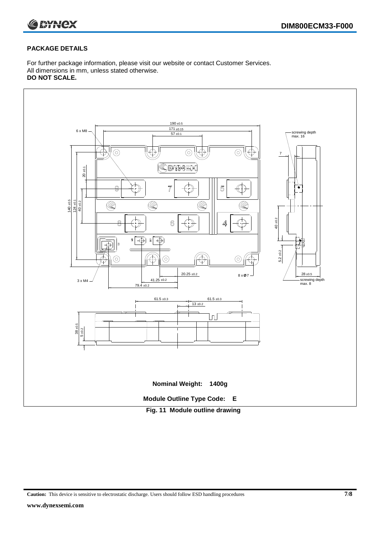

# **PACKAGE DETAILS**

For further package information, please visit our website or contact Customer Services. All dimensions in mm, unless stated otherwise. **DO NOT SCALE.**



**Caution:** This device is sensitive to electrostatic discharge. Users should follow ESD handling procedures **7/8**